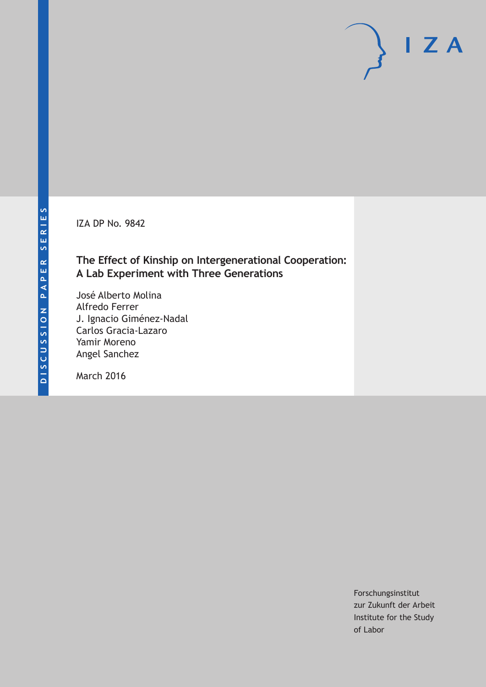IZA DP No. 9842

### **The Effect of Kinship on Intergenerational Cooperation: A Lab Experiment with Three Generations**

José Alberto Molina Alfredo Ferrer J. Ignacio Giménez-Nadal Carlos Gracia-Lazaro Yamir Moreno Angel Sanchez

March 2016

Forschungsinstitut zur Zukunft der Arbeit Institute for the Study of Labor

 $I Z A$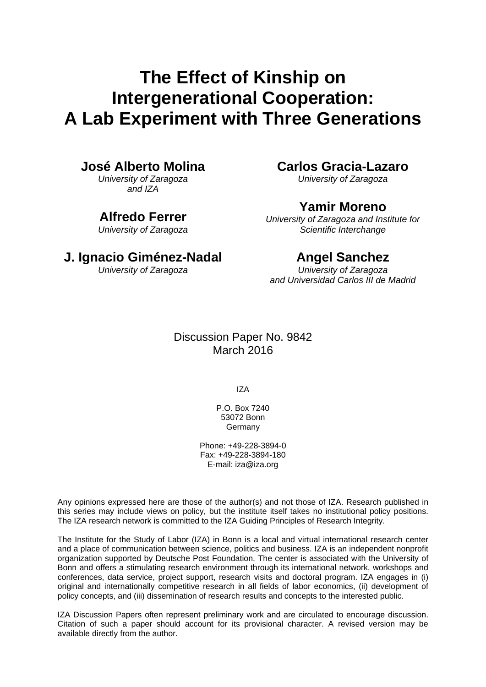# **The Effect of Kinship on Intergenerational Cooperation: A Lab Experiment with Three Generations**

### **José Alberto Molina**

*University of Zaragoza and IZA* 

### **Alfredo Ferrer**

*University of Zaragoza* 

### **Carlos Gracia-Lazaro**

*University of Zaragoza* 

### **Yamir Moreno**

*University of Zaragoza and Institute for Scientific Interchange* 

### **J. Ignacio Giménez-Nadal**

*University of Zaragoza*

### **Angel Sanchez**

*University of Zaragoza and Universidad Carlos III de Madrid* 

### Discussion Paper No. 9842 March 2016

IZA

P.O. Box 7240 53072 Bonn **Germany** 

Phone: +49-228-3894-0 Fax: +49-228-3894-180 E-mail: iza@iza.org

Any opinions expressed here are those of the author(s) and not those of IZA. Research published in this series may include views on policy, but the institute itself takes no institutional policy positions. The IZA research network is committed to the IZA Guiding Principles of Research Integrity.

The Institute for the Study of Labor (IZA) in Bonn is a local and virtual international research center and a place of communication between science, politics and business. IZA is an independent nonprofit organization supported by Deutsche Post Foundation. The center is associated with the University of Bonn and offers a stimulating research environment through its international network, workshops and conferences, data service, project support, research visits and doctoral program. IZA engages in (i) original and internationally competitive research in all fields of labor economics, (ii) development of policy concepts, and (iii) dissemination of research results and concepts to the interested public.

IZA Discussion Papers often represent preliminary work and are circulated to encourage discussion. Citation of such a paper should account for its provisional character. A revised version may be available directly from the author.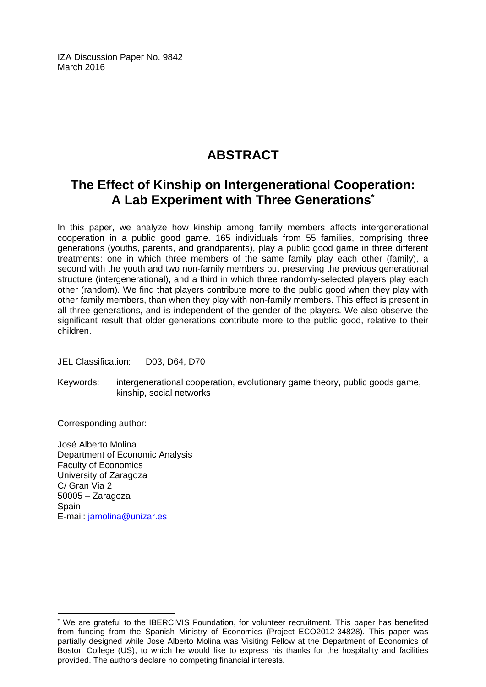IZA Discussion Paper No. 9842 March 2016

# **ABSTRACT**

## **The Effect of Kinship on Intergenerational Cooperation: A Lab Experiment with Three Generations\***

In this paper, we analyze how kinship among family members affects intergenerational cooperation in a public good game. 165 individuals from 55 families, comprising three generations (youths, parents, and grandparents), play a public good game in three different treatments: one in which three members of the same family play each other (family), a second with the youth and two non-family members but preserving the previous generational structure (intergenerational), and a third in which three randomly-selected players play each other (random). We find that players contribute more to the public good when they play with other family members, than when they play with non-family members. This effect is present in all three generations, and is independent of the gender of the players. We also observe the significant result that older generations contribute more to the public good, relative to their children.

JEL Classification: D03, D64, D70

Keywords: intergenerational cooperation, evolutionary game theory, public goods game, kinship, social networks

Corresponding author:

 $\overline{a}$ 

José Alberto Molina Department of Economic Analysis Faculty of Economics University of Zaragoza C/ Gran Via 2 50005 – Zaragoza **Spain** E-mail: jamolina@unizar.es

<sup>\*</sup> We are grateful to the IBERCIVIS Foundation, for volunteer recruitment. This paper has benefited from funding from the Spanish Ministry of Economics (Project ECO2012-34828). This paper was partially designed while Jose Alberto Molina was Visiting Fellow at the Department of Economics of Boston College (US), to which he would like to express his thanks for the hospitality and facilities provided. The authors declare no competing financial interests.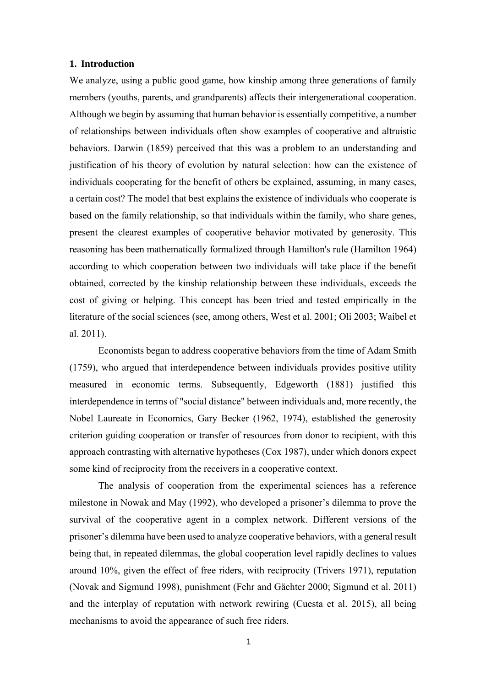#### **1. Introduction**

We analyze, using a public good game, how kinship among three generations of family members (youths, parents, and grandparents) affects their intergenerational cooperation. Although we begin by assuming that human behavior is essentially competitive, a number of relationships between individuals often show examples of cooperative and altruistic behaviors. Darwin (1859) perceived that this was a problem to an understanding and justification of his theory of evolution by natural selection: how can the existence of individuals cooperating for the benefit of others be explained, assuming, in many cases, a certain cost? The model that best explains the existence of individuals who cooperate is based on the family relationship, so that individuals within the family, who share genes, present the clearest examples of cooperative behavior motivated by generosity. This reasoning has been mathematically formalized through Hamilton's rule (Hamilton 1964) according to which cooperation between two individuals will take place if the benefit obtained, corrected by the kinship relationship between these individuals, exceeds the cost of giving or helping. This concept has been tried and tested empirically in the literature of the social sciences (see, among others, West et al. 2001; Oli 2003; Waibel et al. 2011).

Economists began to address cooperative behaviors from the time of Adam Smith (1759), who argued that interdependence between individuals provides positive utility measured in economic terms. Subsequently, Edgeworth (1881) justified this interdependence in terms of "social distance" between individuals and, more recently, the Nobel Laureate in Economics, Gary Becker (1962, 1974), established the generosity criterion guiding cooperation or transfer of resources from donor to recipient, with this approach contrasting with alternative hypotheses (Cox 1987), under which donors expect some kind of reciprocity from the receivers in a cooperative context.

The analysis of cooperation from the experimental sciences has a reference milestone in Nowak and May (1992), who developed a prisoner's dilemma to prove the survival of the cooperative agent in a complex network. Different versions of the prisoner's dilemma have been used to analyze cooperative behaviors, with a general result being that, in repeated dilemmas, the global cooperation level rapidly declines to values around 10%, given the effect of free riders, with reciprocity (Trivers 1971), reputation (Novak and Sigmund 1998), punishment (Fehr and Gächter 2000; Sigmund et al. 2011) and the interplay of reputation with network rewiring (Cuesta et al. 2015), all being mechanisms to avoid the appearance of such free riders.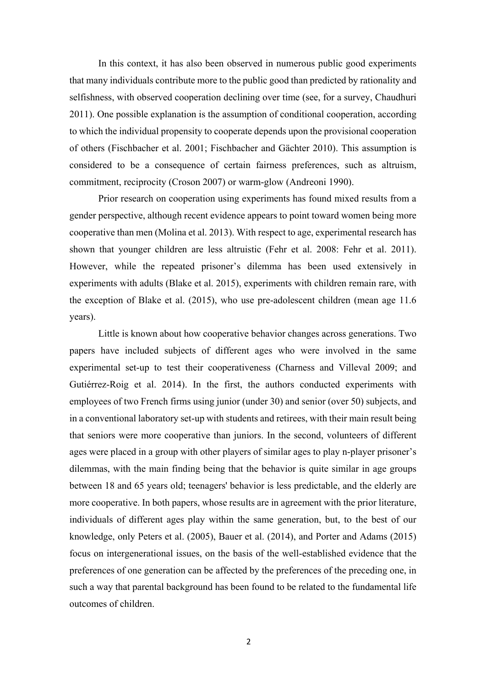In this context, it has also been observed in numerous public good experiments that many individuals contribute more to the public good than predicted by rationality and selfishness, with observed cooperation declining over time (see, for a survey, Chaudhuri 2011). One possible explanation is the assumption of conditional cooperation, according to which the individual propensity to cooperate depends upon the provisional cooperation of others (Fischbacher et al. 2001; Fischbacher and Gächter 2010). This assumption is considered to be a consequence of certain fairness preferences, such as altruism, commitment, reciprocity (Croson 2007) or warm-glow (Andreoni 1990).

Prior research on cooperation using experiments has found mixed results from a gender perspective, although recent evidence appears to point toward women being more cooperative than men (Molina et al. 2013). With respect to age, experimental research has shown that younger children are less altruistic (Fehr et al. 2008: Fehr et al. 2011). However, while the repeated prisoner's dilemma has been used extensively in experiments with adults (Blake et al. 2015), experiments with children remain rare, with the exception of Blake et al. (2015), who use pre-adolescent children (mean age 11.6 years).

Little is known about how cooperative behavior changes across generations. Two papers have included subjects of different ages who were involved in the same experimental set-up to test their cooperativeness (Charness and Villeval 2009; and Gutiérrez-Roig et al. 2014). In the first, the authors conducted experiments with employees of two French firms using junior (under 30) and senior (over 50) subjects, and in a conventional laboratory set-up with students and retirees, with their main result being that seniors were more cooperative than juniors. In the second, volunteers of different ages were placed in a group with other players of similar ages to play n-player prisoner's dilemmas, with the main finding being that the behavior is quite similar in age groups between 18 and 65 years old; teenagers' behavior is less predictable, and the elderly are more cooperative. In both papers, whose results are in agreement with the prior literature, individuals of different ages play within the same generation, but, to the best of our knowledge, only Peters et al. (2005), Bauer et al. (2014), and Porter and Adams (2015) focus on intergenerational issues, on the basis of the well-established evidence that the preferences of one generation can be affected by the preferences of the preceding one, in such a way that parental background has been found to be related to the fundamental life outcomes of children.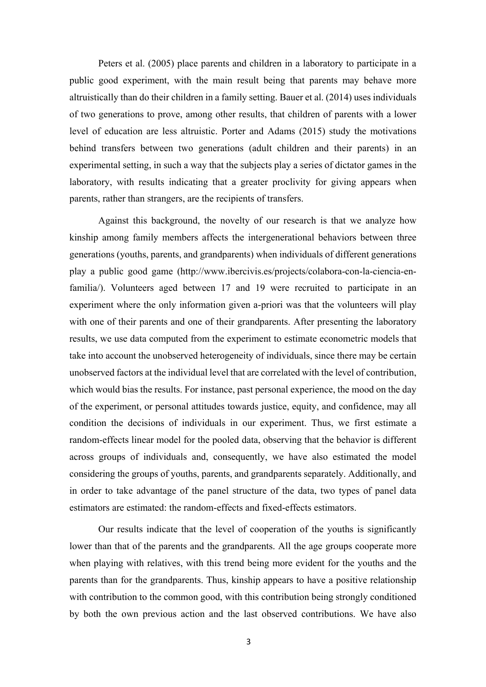Peters et al. (2005) place parents and children in a laboratory to participate in a public good experiment, with the main result being that parents may behave more altruistically than do their children in a family setting. Bauer et al. (2014) uses individuals of two generations to prove, among other results, that children of parents with a lower level of education are less altruistic. Porter and Adams (2015) study the motivations behind transfers between two generations (adult children and their parents) in an experimental setting, in such a way that the subjects play a series of dictator games in the laboratory, with results indicating that a greater proclivity for giving appears when parents, rather than strangers, are the recipients of transfers.

Against this background, the novelty of our research is that we analyze how kinship among family members affects the intergenerational behaviors between three generations (youths, parents, and grandparents) when individuals of different generations play a public good game (http://www.ibercivis.es/projects/colabora-con-la-ciencia-enfamilia/). Volunteers aged between 17 and 19 were recruited to participate in an experiment where the only information given a-priori was that the volunteers will play with one of their parents and one of their grandparents. After presenting the laboratory results, we use data computed from the experiment to estimate econometric models that take into account the unobserved heterogeneity of individuals, since there may be certain unobserved factors at the individual level that are correlated with the level of contribution, which would bias the results. For instance, past personal experience, the mood on the day of the experiment, or personal attitudes towards justice, equity, and confidence, may all condition the decisions of individuals in our experiment. Thus, we first estimate a random-effects linear model for the pooled data, observing that the behavior is different across groups of individuals and, consequently, we have also estimated the model considering the groups of youths, parents, and grandparents separately. Additionally, and in order to take advantage of the panel structure of the data, two types of panel data estimators are estimated: the random-effects and fixed-effects estimators.

Our results indicate that the level of cooperation of the youths is significantly lower than that of the parents and the grandparents. All the age groups cooperate more when playing with relatives, with this trend being more evident for the youths and the parents than for the grandparents. Thus, kinship appears to have a positive relationship with contribution to the common good, with this contribution being strongly conditioned by both the own previous action and the last observed contributions. We have also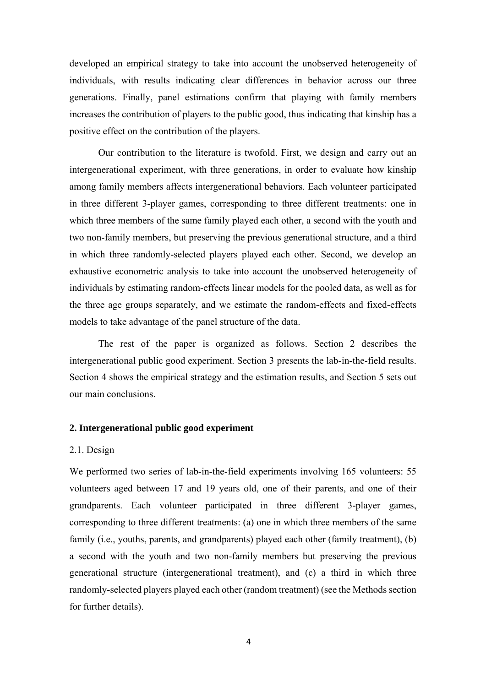developed an empirical strategy to take into account the unobserved heterogeneity of individuals, with results indicating clear differences in behavior across our three generations. Finally, panel estimations confirm that playing with family members increases the contribution of players to the public good, thus indicating that kinship has a positive effect on the contribution of the players.

Our contribution to the literature is twofold. First, we design and carry out an intergenerational experiment, with three generations, in order to evaluate how kinship among family members affects intergenerational behaviors. Each volunteer participated in three different 3-player games, corresponding to three different treatments: one in which three members of the same family played each other, a second with the youth and two non-family members, but preserving the previous generational structure, and a third in which three randomly-selected players played each other. Second, we develop an exhaustive econometric analysis to take into account the unobserved heterogeneity of individuals by estimating random-effects linear models for the pooled data, as well as for the three age groups separately, and we estimate the random-effects and fixed-effects models to take advantage of the panel structure of the data.

The rest of the paper is organized as follows. Section 2 describes the intergenerational public good experiment. Section 3 presents the lab-in-the-field results. Section 4 shows the empirical strategy and the estimation results, and Section 5 sets out our main conclusions.

#### **2. Intergenerational public good experiment**

#### 2.1. Design

We performed two series of lab-in-the-field experiments involving 165 volunteers: 55 volunteers aged between 17 and 19 years old, one of their parents, and one of their grandparents. Each volunteer participated in three different 3-player games, corresponding to three different treatments: (a) one in which three members of the same family (i.e., youths, parents, and grandparents) played each other (family treatment), (b) a second with the youth and two non-family members but preserving the previous generational structure (intergenerational treatment), and (c) a third in which three randomly-selected players played each other (random treatment) (see the Methods section for further details).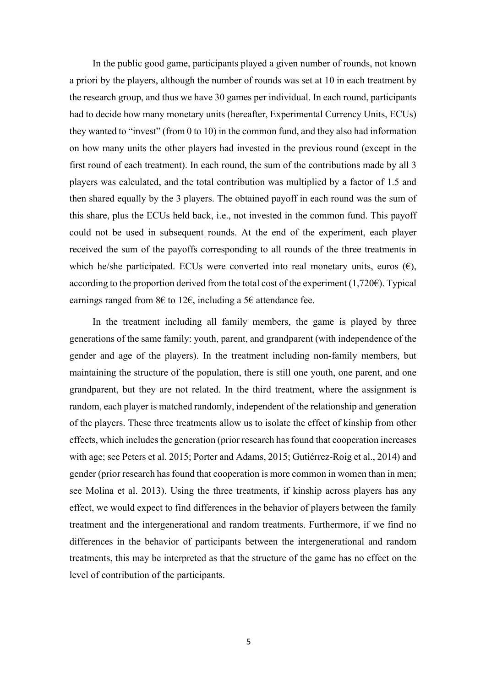In the public good game, participants played a given number of rounds, not known a priori by the players, although the number of rounds was set at 10 in each treatment by the research group, and thus we have 30 games per individual. In each round, participants had to decide how many monetary units (hereafter, Experimental Currency Units, ECUs) they wanted to "invest" (from 0 to 10) in the common fund, and they also had information on how many units the other players had invested in the previous round (except in the first round of each treatment). In each round, the sum of the contributions made by all 3 players was calculated, and the total contribution was multiplied by a factor of 1.5 and then shared equally by the 3 players. The obtained payoff in each round was the sum of this share, plus the ECUs held back, i.e., not invested in the common fund. This payoff could not be used in subsequent rounds. At the end of the experiment, each player received the sum of the payoffs corresponding to all rounds of the three treatments in which he/she participated. ECUs were converted into real monetary units, euros  $(\epsilon)$ , according to the proportion derived from the total cost of the experiment  $(1,720\epsilon)$ . Typical earnings ranged from 8€ to 12€, including a 5€ attendance fee.

In the treatment including all family members, the game is played by three generations of the same family: youth, parent, and grandparent (with independence of the gender and age of the players). In the treatment including non-family members, but maintaining the structure of the population, there is still one youth, one parent, and one grandparent, but they are not related. In the third treatment, where the assignment is random, each player is matched randomly, independent of the relationship and generation of the players. These three treatments allow us to isolate the effect of kinship from other effects, which includes the generation (prior research has found that cooperation increases with age; see Peters et al. 2015; Porter and Adams, 2015; Gutiérrez-Roig et al., 2014) and gender (prior research has found that cooperation is more common in women than in men; see Molina et al. 2013). Using the three treatments, if kinship across players has any effect, we would expect to find differences in the behavior of players between the family treatment and the intergenerational and random treatments. Furthermore, if we find no differences in the behavior of participants between the intergenerational and random treatments, this may be interpreted as that the structure of the game has no effect on the level of contribution of the participants.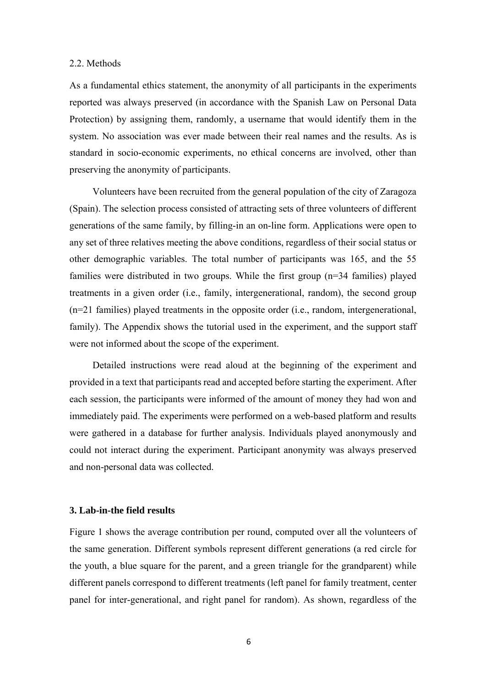#### 2.2. Methods

As a fundamental ethics statement, the anonymity of all participants in the experiments reported was always preserved (in accordance with the Spanish Law on Personal Data Protection) by assigning them, randomly, a username that would identify them in the system. No association was ever made between their real names and the results. As is standard in socio-economic experiments, no ethical concerns are involved, other than preserving the anonymity of participants.

Volunteers have been recruited from the general population of the city of Zaragoza (Spain). The selection process consisted of attracting sets of three volunteers of different generations of the same family, by filling-in an on-line form. Applications were open to any set of three relatives meeting the above conditions, regardless of their social status or other demographic variables. The total number of participants was 165, and the 55 families were distributed in two groups. While the first group (n=34 families) played treatments in a given order (i.e., family, intergenerational, random), the second group (n=21 families) played treatments in the opposite order (i.e., random, intergenerational, family). The Appendix shows the tutorial used in the experiment, and the support staff were not informed about the scope of the experiment.

Detailed instructions were read aloud at the beginning of the experiment and provided in a text that participants read and accepted before starting the experiment. After each session, the participants were informed of the amount of money they had won and immediately paid. The experiments were performed on a web-based platform and results were gathered in a database for further analysis. Individuals played anonymously and could not interact during the experiment. Participant anonymity was always preserved and non-personal data was collected.

#### **3. Lab-in-the field results**

Figure 1 shows the average contribution per round, computed over all the volunteers of the same generation. Different symbols represent different generations (a red circle for the youth, a blue square for the parent, and a green triangle for the grandparent) while different panels correspond to different treatments (left panel for family treatment, center panel for inter-generational, and right panel for random). As shown, regardless of the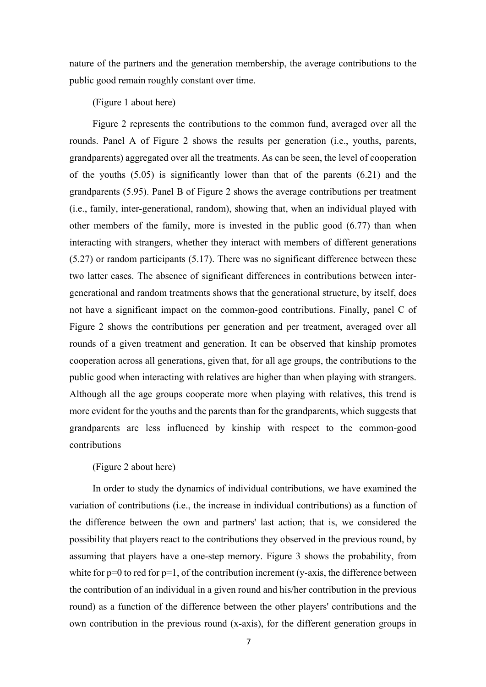nature of the partners and the generation membership, the average contributions to the public good remain roughly constant over time.

(Figure 1 about here)

Figure 2 represents the contributions to the common fund, averaged over all the rounds. Panel A of Figure 2 shows the results per generation (i.e., youths, parents, grandparents) aggregated over all the treatments. As can be seen, the level of cooperation of the youths (5.05) is significantly lower than that of the parents (6.21) and the grandparents (5.95). Panel B of Figure 2 shows the average contributions per treatment (i.e., family, inter-generational, random), showing that, when an individual played with other members of the family, more is invested in the public good (6.77) than when interacting with strangers, whether they interact with members of different generations (5.27) or random participants (5.17). There was no significant difference between these two latter cases. The absence of significant differences in contributions between intergenerational and random treatments shows that the generational structure, by itself, does not have a significant impact on the common-good contributions. Finally, panel C of Figure 2 shows the contributions per generation and per treatment, averaged over all rounds of a given treatment and generation. It can be observed that kinship promotes cooperation across all generations, given that, for all age groups, the contributions to the public good when interacting with relatives are higher than when playing with strangers. Although all the age groups cooperate more when playing with relatives, this trend is more evident for the youths and the parents than for the grandparents, which suggests that grandparents are less influenced by kinship with respect to the common-good contributions

#### (Figure 2 about here)

In order to study the dynamics of individual contributions, we have examined the variation of contributions (i.e., the increase in individual contributions) as a function of the difference between the own and partners' last action; that is, we considered the possibility that players react to the contributions they observed in the previous round, by assuming that players have a one-step memory. Figure 3 shows the probability, from white for  $p=0$  to red for  $p=1$ , of the contribution increment (y-axis, the difference between the contribution of an individual in a given round and his/her contribution in the previous round) as a function of the difference between the other players' contributions and the own contribution in the previous round (x-axis), for the different generation groups in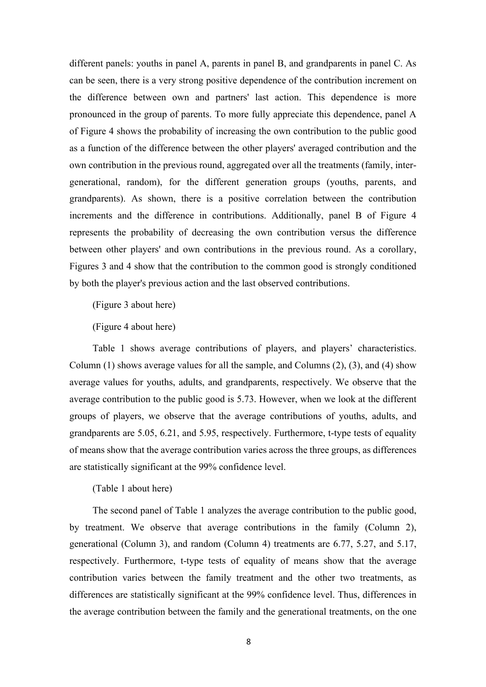different panels: youths in panel A, parents in panel B, and grandparents in panel C. As can be seen, there is a very strong positive dependence of the contribution increment on the difference between own and partners' last action. This dependence is more pronounced in the group of parents. To more fully appreciate this dependence, panel A of Figure 4 shows the probability of increasing the own contribution to the public good as a function of the difference between the other players' averaged contribution and the own contribution in the previous round, aggregated over all the treatments (family, intergenerational, random), for the different generation groups (youths, parents, and grandparents). As shown, there is a positive correlation between the contribution increments and the difference in contributions. Additionally, panel B of Figure 4 represents the probability of decreasing the own contribution versus the difference between other players' and own contributions in the previous round. As a corollary, Figures 3 and 4 show that the contribution to the common good is strongly conditioned by both the player's previous action and the last observed contributions.

(Figure 3 about here)

(Figure 4 about here)

Table 1 shows average contributions of players, and players' characteristics. Column (1) shows average values for all the sample, and Columns (2), (3), and (4) show average values for youths, adults, and grandparents, respectively. We observe that the average contribution to the public good is 5.73. However, when we look at the different groups of players, we observe that the average contributions of youths, adults, and grandparents are 5.05, 6.21, and 5.95, respectively. Furthermore, t-type tests of equality of means show that the average contribution varies across the three groups, as differences are statistically significant at the 99% confidence level.

(Table 1 about here)

The second panel of Table 1 analyzes the average contribution to the public good, by treatment. We observe that average contributions in the family (Column 2), generational (Column 3), and random (Column 4) treatments are 6.77, 5.27, and 5.17, respectively. Furthermore, t-type tests of equality of means show that the average contribution varies between the family treatment and the other two treatments, as differences are statistically significant at the 99% confidence level. Thus, differences in the average contribution between the family and the generational treatments, on the one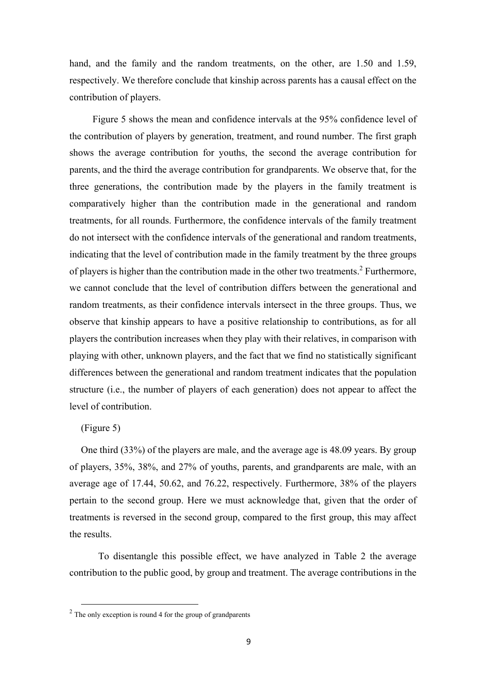hand, and the family and the random treatments, on the other, are 1.50 and 1.59, respectively. We therefore conclude that kinship across parents has a causal effect on the contribution of players.

Figure 5 shows the mean and confidence intervals at the 95% confidence level of the contribution of players by generation, treatment, and round number. The first graph shows the average contribution for youths, the second the average contribution for parents, and the third the average contribution for grandparents. We observe that, for the three generations, the contribution made by the players in the family treatment is comparatively higher than the contribution made in the generational and random treatments, for all rounds. Furthermore, the confidence intervals of the family treatment do not intersect with the confidence intervals of the generational and random treatments, indicating that the level of contribution made in the family treatment by the three groups of players is higher than the contribution made in the other two treatments.<sup>2</sup> Furthermore, we cannot conclude that the level of contribution differs between the generational and random treatments, as their confidence intervals intersect in the three groups. Thus, we observe that kinship appears to have a positive relationship to contributions, as for all players the contribution increases when they play with their relatives, in comparison with playing with other, unknown players, and the fact that we find no statistically significant differences between the generational and random treatment indicates that the population structure (i.e., the number of players of each generation) does not appear to affect the level of contribution.

#### (Figure 5)

One third (33%) of the players are male, and the average age is 48.09 years. By group of players, 35%, 38%, and 27% of youths, parents, and grandparents are male, with an average age of 17.44, 50.62, and 76.22, respectively. Furthermore, 38% of the players pertain to the second group. Here we must acknowledge that, given that the order of treatments is reversed in the second group, compared to the first group, this may affect the results.

To disentangle this possible effect, we have analyzed in Table 2 the average contribution to the public good, by group and treatment. The average contributions in the

 $2$  The only exception is round 4 for the group of grandparents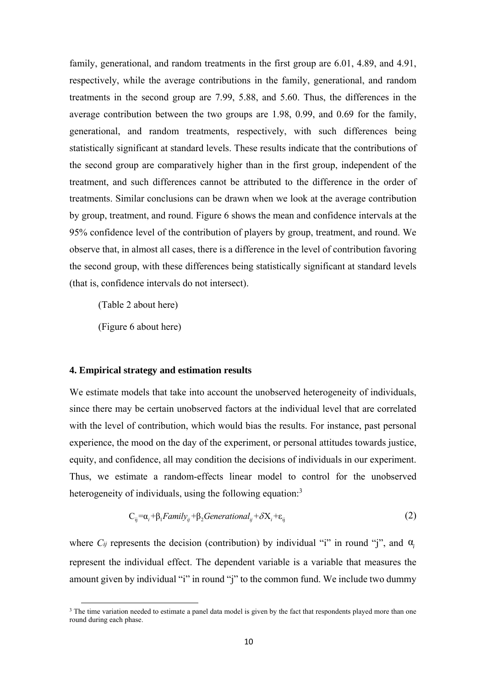family, generational, and random treatments in the first group are 6.01, 4.89, and 4.91, respectively, while the average contributions in the family, generational, and random treatments in the second group are 7.99, 5.88, and 5.60. Thus, the differences in the average contribution between the two groups are 1.98, 0.99, and 0.69 for the family, generational, and random treatments, respectively, with such differences being statistically significant at standard levels. These results indicate that the contributions of the second group are comparatively higher than in the first group, independent of the treatment, and such differences cannot be attributed to the difference in the order of treatments. Similar conclusions can be drawn when we look at the average contribution by group, treatment, and round. Figure 6 shows the mean and confidence intervals at the 95% confidence level of the contribution of players by group, treatment, and round. We observe that, in almost all cases, there is a difference in the level of contribution favoring the second group, with these differences being statistically significant at standard levels (that is, confidence intervals do not intersect).

(Table 2 about here)

(Figure 6 about here)

#### **4. Empirical strategy and estimation results**

We estimate models that take into account the unobserved heterogeneity of individuals, since there may be certain unobserved factors at the individual level that are correlated with the level of contribution, which would bias the results. For instance, past personal experience, the mood on the day of the experiment, or personal attitudes towards justice, equity, and confidence, all may condition the decisions of individuals in our experiment. Thus, we estimate a random-effects linear model to control for the unobserved heterogeneity of individuals, using the following equation:<sup>3</sup>

$$
C_{ij} = \alpha_i + \beta_1 Family_{ij} + \beta_2 Generational_{ij} + \delta X_i + \varepsilon_{ij}
$$
 (2)

where  $C_{ij}$  represents the decision (contribution) by individual "i" in round "j", and  $\alpha_i$ represent the individual effect. The dependent variable is a variable that measures the amount given by individual "i" in round "j" to the common fund. We include two dummy

<sup>&</sup>lt;sup>3</sup> The time variation needed to estimate a panel data model is given by the fact that respondents played more than one round during each phase.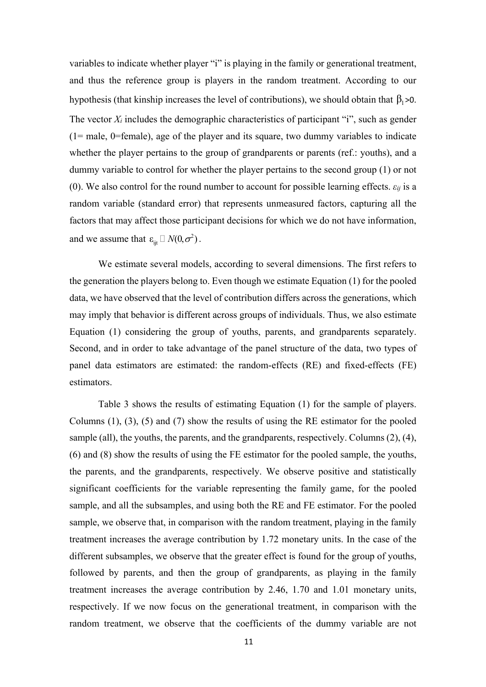variables to indicate whether player "i" is playing in the family or generational treatment, and thus the reference group is players in the random treatment. According to our hypothesis (that kinship increases the level of contributions), we should obtain that  $\beta_1 > 0$ . The vector *Xi* includes the demographic characteristics of participant "i", such as gender (1= male, 0=female), age of the player and its square, two dummy variables to indicate whether the player pertains to the group of grandparents or parents (ref.: youths), and a dummy variable to control for whether the player pertains to the second group (1) or not (0). We also control for the round number to account for possible learning effects.  $\varepsilon_{ij}$  is a random variable (standard error) that represents unmeasured factors, capturing all the factors that may affect those participant decisions for which we do not have information, and we assume that  $\varepsilon_{\scriptscriptstyle\rm ijt} \Box N(0,\sigma^2)$  .

We estimate several models, according to several dimensions. The first refers to the generation the players belong to. Even though we estimate Equation (1) for the pooled data, we have observed that the level of contribution differs across the generations, which may imply that behavior is different across groups of individuals. Thus, we also estimate Equation (1) considering the group of youths, parents, and grandparents separately. Second, and in order to take advantage of the panel structure of the data, two types of panel data estimators are estimated: the random-effects (RE) and fixed-effects (FE) estimators.

Table 3 shows the results of estimating Equation (1) for the sample of players. Columns (1), (3), (5) and (7) show the results of using the RE estimator for the pooled sample (all), the youths, the parents, and the grandparents, respectively. Columns (2), (4), (6) and (8) show the results of using the FE estimator for the pooled sample, the youths, the parents, and the grandparents, respectively. We observe positive and statistically significant coefficients for the variable representing the family game, for the pooled sample, and all the subsamples, and using both the RE and FE estimator. For the pooled sample, we observe that, in comparison with the random treatment, playing in the family treatment increases the average contribution by 1.72 monetary units. In the case of the different subsamples, we observe that the greater effect is found for the group of youths, followed by parents, and then the group of grandparents, as playing in the family treatment increases the average contribution by 2.46, 1.70 and 1.01 monetary units, respectively. If we now focus on the generational treatment, in comparison with the random treatment, we observe that the coefficients of the dummy variable are not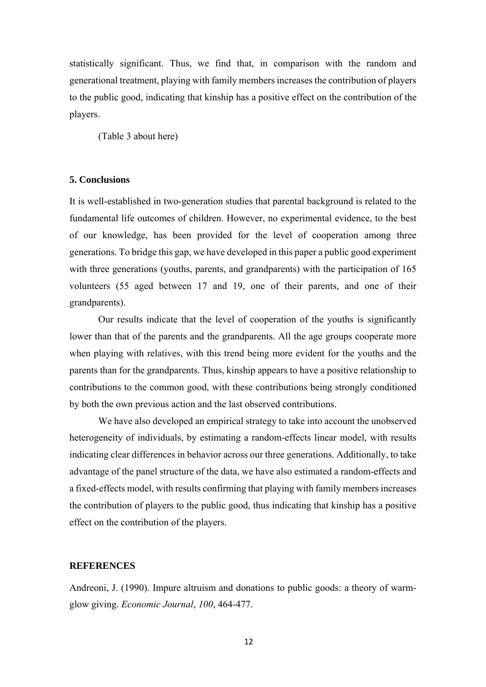statistically significant. Thus, we find that, in comparison with the random and generational treatment, playing with family members increases the contribution of players to the public good, indicating that kinship has a positive effect on the contribution of the players.

(Table 3 about here)

#### **5. Conclusions**

It is well-established in two-generation studies that parental background is related to the fundamental life outcomes of children. However, no experimental evidence, to the best of our knowledge, has been provided for the level of cooperation among three generations. To bridge this gap, we have developed in this paper a public good experiment with three generations (youths, parents, and grandparents) with the participation of 165 volunteers (55 aged between 17 and 19, one of their parents, and one of their grandparents).

Our results indicate that the level of cooperation of the youths is significantly lower than that of the parents and the grandparents. All the age groups cooperate more when playing with relatives, with this trend being more evident for the youths and the parents than for the grandparents. Thus, kinship appears to have a positive relationship to contributions to the common good, with these contributions being strongly conditioned by both the own previous action and the last observed contributions.

We have also developed an empirical strategy to take into account the unobserved heterogeneity of individuals, by estimating a random-effects linear model, with results indicating clear differences in behavior across our three generations. Additionally, to take advantage of the panel structure of the data, we have also estimated a random-effects and a fixed-effects model, with results confirming that playing with family members increases the contribution of players to the public good, thus indicating that kinship has a positive effect on the contribution of the players.

#### **REFERENCES**

Andreoni, J. (1990). Impure altruism and donations to public goods: a theory of warmglow giving. *Economic Journal*, *100*, 464-477.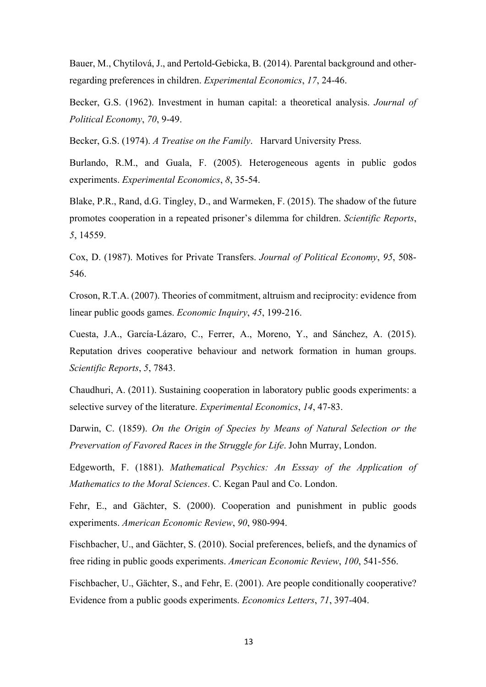Bauer, M., Chytilová, J., and Pertold-Gebicka, B. (2014). Parental background and otherregarding preferences in children. *Experimental Economics*, *17*, 24-46.

Becker, G.S. (1962). Investment in human capital: a theoretical analysis. *Journal of Political Economy*, *70*, 9-49.

Becker, G.S. (1974). *A Treatise on the Family*. Harvard University Press.

Burlando, R.M., and Guala, F. (2005). Heterogeneous agents in public godos experiments. *Experimental Economics*, *8*, 35-54.

Blake, P.R., Rand, d.G. Tingley, D., and Warmeken, F. (2015). The shadow of the future promotes cooperation in a repeated prisoner's dilemma for children. *Scientific Reports*, *5*, 14559.

Cox, D. (1987). Motives for Private Transfers. *Journal of Political Economy*, *95*, 508- 546.

Croson, R.T.A. (2007). Theories of commitment, altruism and reciprocity: evidence from linear public goods games. *Economic Inquiry*, *45*, 199-216.

Cuesta, J.A., García-Lázaro, C., Ferrer, A., Moreno, Y., and Sánchez, A. (2015). Reputation drives cooperative behaviour and network formation in human groups. *Scientific Reports*, *5*, 7843.

Chaudhuri, A. (2011). Sustaining cooperation in laboratory public goods experiments: a selective survey of the literature. *Experimental Economics*, *14*, 47-83.

Darwin, C. (1859). *On the Origin of Species by Means of Natural Selection or the Prevervation of Favored Races in the Struggle for Life*. John Murray, London.

Edgeworth, F. (1881). *Mathematical Psychics: An Esssay of the Application of Mathematics to the Moral Sciences*. C. Kegan Paul and Co. London.

Fehr, E., and Gächter, S. (2000). Cooperation and punishment in public goods experiments. *American Economic Review*, *90*, 980-994.

Fischbacher, U., and Gächter, S. (2010). Social preferences, beliefs, and the dynamics of free riding in public goods experiments. *American Economic Review*, *100*, 541-556.

Fischbacher, U., Gächter, S., and Fehr, E. (2001). Are people conditionally cooperative? Evidence from a public goods experiments. *Economics Letters*, *71*, 397-404.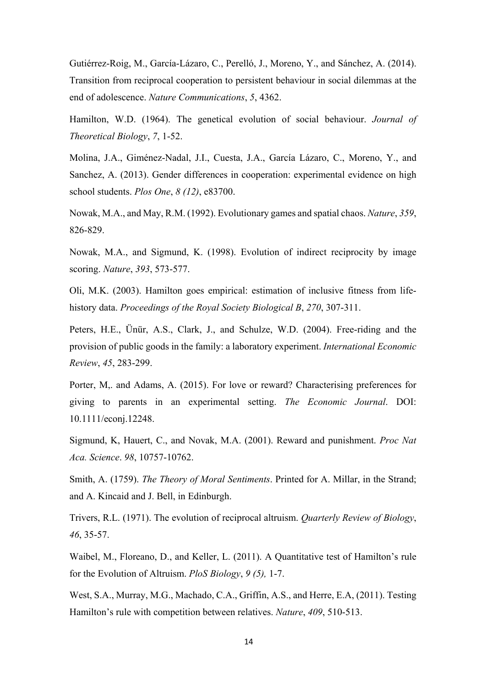Gutiérrez-Roig, M., García-Lázaro, C., Perelló, J., Moreno, Y., and Sánchez, A. (2014). Transition from reciprocal cooperation to persistent behaviour in social dilemmas at the end of adolescence. *Nature Communications*, *5*, 4362.

Hamilton, W.D. (1964). The genetical evolution of social behaviour. *Journal of Theoretical Biology*, *7*, 1-52.

Molina, J.A., Giménez-Nadal, J.I., Cuesta, J.A., García Lázaro, C., Moreno, Y., and Sanchez, A. (2013). Gender differences in cooperation: experimental evidence on high school students. *Plos One*, *8 (12)*, e83700.

Nowak, M.A., and May, R.M. (1992). Evolutionary games and spatial chaos. *Nature*, *359*, 826-829.

Nowak, M.A., and Sigmund, K. (1998). Evolution of indirect reciprocity by image scoring. *Nature*, *393*, 573-577.

Oli, M.K. (2003). Hamilton goes empirical: estimation of inclusive fitness from lifehistory data. *Proceedings of the Royal Society Biological B*, *270*, 307-311.

Peters, H.E., Ünür, A.S., Clark, J., and Schulze, W.D. (2004). Free-riding and the provision of public goods in the family: a laboratory experiment. *International Economic Review*, *45*, 283-299.

Porter, M,. and Adams, A. (2015). For love or reward? Characterising preferences for giving to parents in an experimental setting. *The Economic Journal*. DOI: 10.1111/econj.12248.

Sigmund, K, Hauert, C., and Novak, M.A. (2001). Reward and punishment. *Proc Nat Aca. Science*. *98*, 10757-10762.

Smith, A. (1759). *The Theory of Moral Sentiments*. Printed for A. Millar, in the Strand; and A. Kincaid and J. Bell, in Edinburgh.

Trivers, R.L. (1971). The evolution of reciprocal altruism. *Quarterly Review of Biology*, *46*, 35-57.

Waibel, M., Floreano, D., and Keller, L. (2011). A Quantitative test of Hamilton's rule for the Evolution of Altruism. *PloS Biology*, *9 (5),* 1-7.

West, S.A., Murray, M.G., Machado, C.A., Griffin, A.S., and Herre, E.A, (2011). Testing Hamilton's rule with competition between relatives. *Nature*, *409*, 510-513.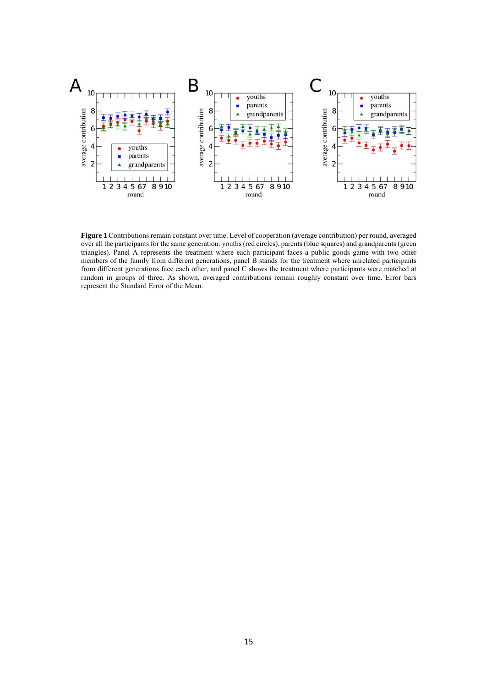

**Figure 1** Contributions remain constant over time. Level of cooperation (average contribution) per round, averaged over all the participants for the same generation: youths (red circles), parents (blue squares) and grandparents (green triangles). Panel A represents the treatment where each participant faces a public goods game with two other members of the family from different generations, panel B stands for the treatment where unrelated participants from different generations face each other, and panel C shows the treatment where participants were matched at random in groups of three. As shown, averaged contributions remain roughly constant over time. Error bars represent the Standard Error of the Mean.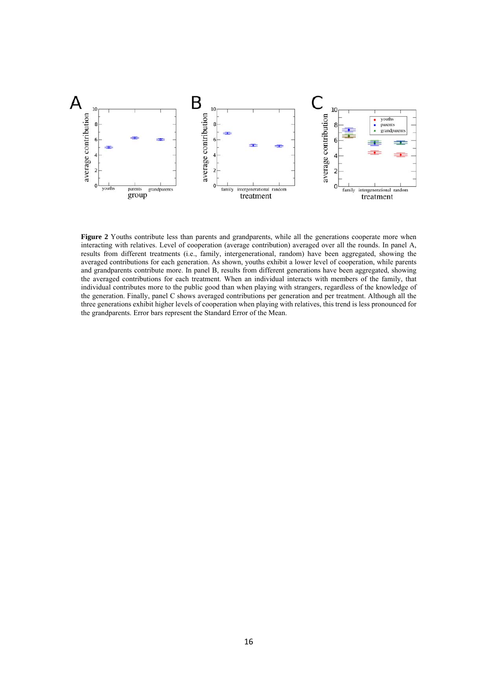

**Figure 2** Youths contribute less than parents and grandparents, while all the generations cooperate more when interacting with relatives. Level of cooperation (average contribution) averaged over all the rounds. In panel A, results from different treatments (i.e., family, intergenerational, random) have been aggregated, showing the averaged contributions for each generation. As shown, youths exhibit a lower level of cooperation, while parents and grandparents contribute more. In panel B, results from different generations have been aggregated, showing the averaged contributions for each treatment. When an individual interacts with members of the family, that individual contributes more to the public good than when playing with strangers, regardless of the knowledge of the generation. Finally, panel C shows averaged contributions per generation and per treatment. Although all the three generations exhibit higher levels of cooperation when playing with relatives, this trend is less pronounced for the grandparents. Error bars represent the Standard Error of the Mean.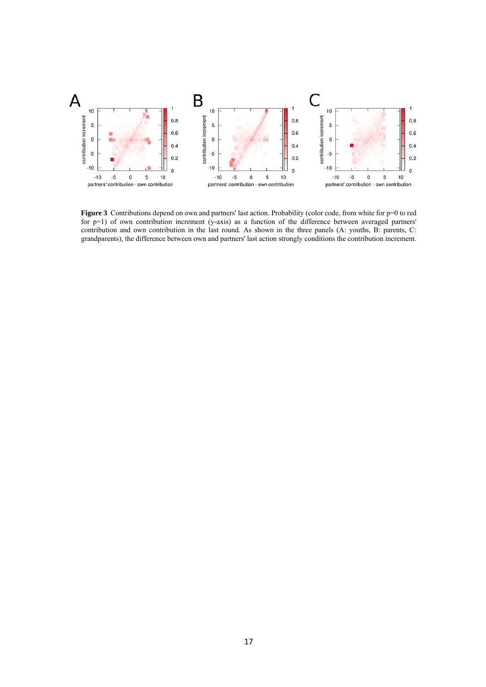

**Figure 3** Contributions depend on own and partners' last action. Probability (color code, from white for p=0 to red for  $p=1$ ) of own contribution increment (y-axis) as a function of the difference between averaged partners' contribution and own contribution in the last round. As shown in the three panels (A: youths, B: parents, C: grandparents), the difference between own and partners' last action strongly conditions the contribution increment.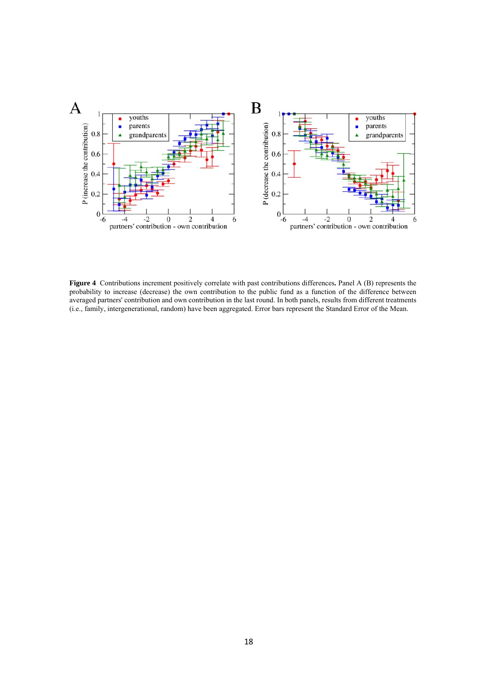

**Figure 4** Contributions increment positively correlate with past contributions differences**.** Panel A (B) represents the probability to increase (decrease) the own contribution to the public fund as a function of the difference between averaged partners' contribution and own contribution in the last round. In both panels, results from different treatments (i.e., family, intergenerational, random) have been aggregated. Error bars represent the Standard Error of the Mean.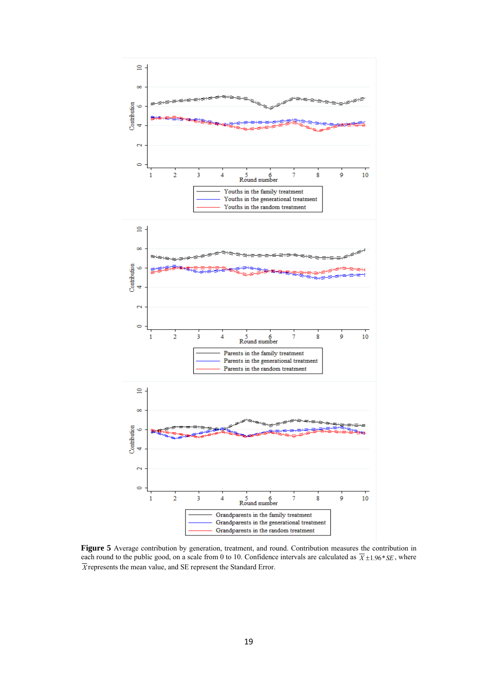

**Figure 5** Average contribution by generation, treatment, and round. Contribution measures the contribution in each round to the public good, on a scale from 0 to 10. Confidence intervals are calculated as  $\overline{X}$  ±1.96\**SE*, where *X* represents the mean value, and SE represent the Standard Error.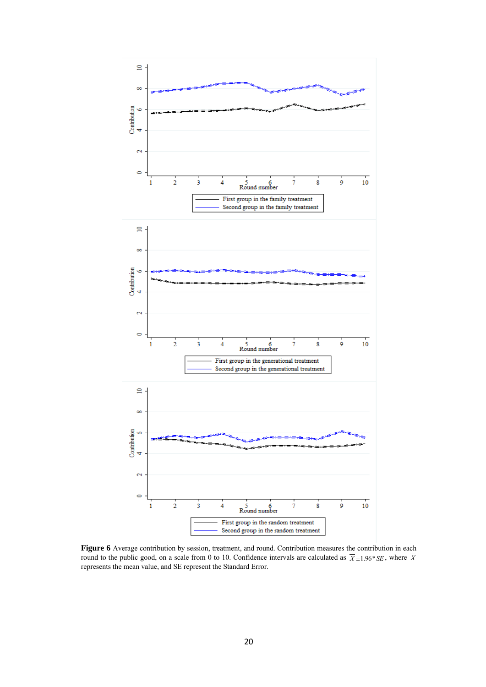

Figure 6 Average contribution by session, treatment, and round. Contribution measures the contribution in each round to the public good, on a scale from 0 to 10. Confidence intervals are calculated as  $\overline{X}$  ±1.96\**SE*, where  $\overline{X}$ represents the mean value, and SE represent the Standard Error.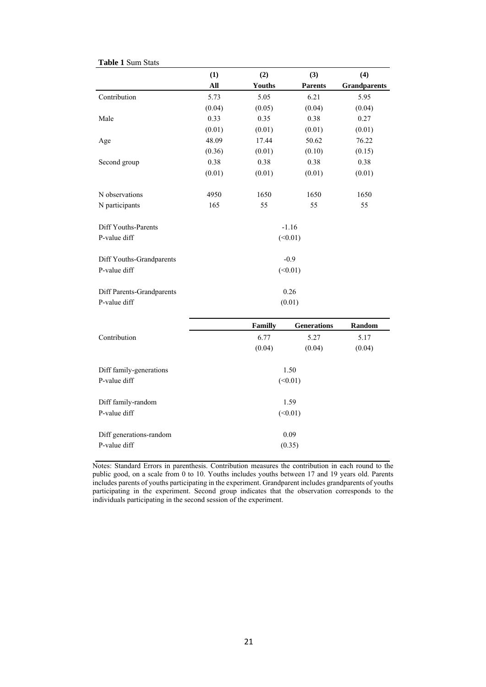|                           | (1)     | (2)     | (3)                | (4)                 |  |
|---------------------------|---------|---------|--------------------|---------------------|--|
|                           | All     | Youths  | <b>Parents</b>     | <b>Grandparents</b> |  |
| Contribution              | 5.73    | 5.05    | 6.21               | 5.95                |  |
|                           | (0.04)  | (0.05)  | (0.04)             | (0.04)              |  |
| Male                      | 0.33    | 0.35    | 0.38               | 0.27                |  |
|                           | (0.01)  | (0.01)  | (0.01)             | (0.01)              |  |
| Age                       | 48.09   | 17.44   | 50.62              | 76.22               |  |
|                           | (0.36)  | (0.01)  | (0.10)             | (0.15)              |  |
| Second group              | 0.38    | 0.38    | 0.38               | 0.38                |  |
|                           | (0.01)  | (0.01)  | (0.01)             | (0.01)              |  |
| N observations            | 4950    | 1650    | 1650               | 1650                |  |
| N participants            | 165     | 55      | 55                 | 55                  |  |
| Diff Youths-Parents       |         |         | $-1.16$            |                     |  |
| P-value diff              | (<0.01) |         |                    |                     |  |
| Diff Youths-Grandparents  |         |         | $-0.9$             |                     |  |
| P-value diff              | (<0.01) |         |                    |                     |  |
| Diff Parents-Grandparents |         |         | 0.26               |                     |  |
| P-value diff              | (0.01)  |         |                    |                     |  |
|                           |         | Familly | <b>Generations</b> | Random              |  |

|                         | Familly | <b>Generations</b> | Random |  |  |
|-------------------------|---------|--------------------|--------|--|--|
| Contribution            | 6.77    | 5.27               | 5.17   |  |  |
|                         | (0.04)  | (0.04)             | (0.04) |  |  |
|                         |         |                    |        |  |  |
| Diff family-generations |         | 1.50               |        |  |  |
| P-value diff            |         | (<0.01)            |        |  |  |
|                         |         |                    |        |  |  |
| Diff family-random      |         | 1.59               |        |  |  |
| P-value diff            |         | (<0.01)            |        |  |  |
|                         |         |                    |        |  |  |
| Diff generations-random |         | 0.09               |        |  |  |
| P-value diff            |         | (0.35)             |        |  |  |
|                         |         |                    |        |  |  |

Notes: Standard Errors in parenthesis. Contribution measures the contribution in each round to the public good, on a scale from 0 to 10. Youths includes youths between 17 and 19 years old. Parents includes parents of youths participating in the experiment. Grandparent includes grandparents of youths participating in the experiment. Second group indicates that the observation corresponds to the individuals participating in the second session of the experiment.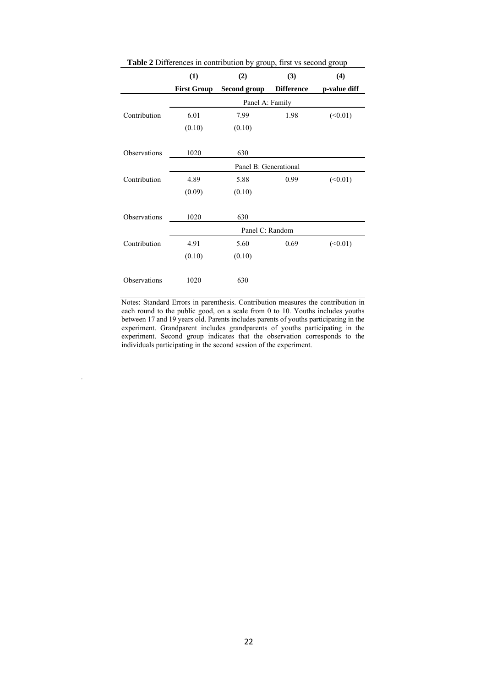| <b>Table 2</b> Differences in contribution by group, first vs second group |                       |              |                   |              |  |
|----------------------------------------------------------------------------|-----------------------|--------------|-------------------|--------------|--|
|                                                                            | (1)                   | (2)          | (3)               | (4)          |  |
|                                                                            | <b>First Group</b>    | Second group | <b>Difference</b> | p-value diff |  |
|                                                                            | Panel A: Family       |              |                   |              |  |
| Contribution                                                               | 6.01                  | 7.99         | 1.98              | (<0.01)      |  |
|                                                                            | (0.10)                | (0.10)       |                   |              |  |
|                                                                            |                       |              |                   |              |  |
| Observations                                                               | 1020                  | 630          |                   |              |  |
|                                                                            | Panel B: Generational |              |                   |              |  |
| Contribution                                                               | 4.89                  | 5.88         | 0.99              | (<0.01)      |  |
|                                                                            | (0.09)                | (0.10)       |                   |              |  |
|                                                                            |                       |              |                   |              |  |
| Observations                                                               | 1020                  | 630          |                   |              |  |
|                                                                            | Panel C: Random       |              |                   |              |  |
| Contribution                                                               | 4.91                  | 5.60         | 0.69              | (<0.01)      |  |
|                                                                            | (0.10)                | (0.10)       |                   |              |  |
|                                                                            |                       |              |                   |              |  |
| Observations                                                               | 1020                  | 630          |                   |              |  |

Notes: Standard Errors in parenthesis. Contribution measures the contribution in each round to the public good, on a scale from 0 to 10. Youths includes youths between 17 and 19 years old. Parents includes parents of youths participating in the experiment. Grandparent includes grandparents of youths participating in the experiment. Second group indicates that the observation corresponds to the individuals participating in the second session of the experiment.

.

22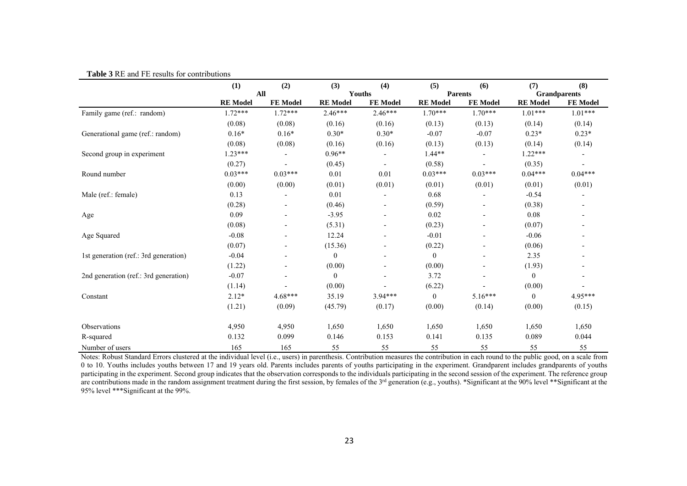|                                       | (1)             | (2)             | (3)              | (4)             | (5)             | (6)             | (7)                 | (8)       |
|---------------------------------------|-----------------|-----------------|------------------|-----------------|-----------------|-----------------|---------------------|-----------|
|                                       |                 | All             |                  | Youths          |                 | <b>Parents</b>  | <b>Grandparents</b> |           |
|                                       | <b>RE</b> Model | <b>FE Model</b> | <b>RE</b> Model  | <b>FE Model</b> | <b>RE</b> Model | <b>FE Model</b> | <b>RE</b> Model     | FE Model  |
| Family game (ref.: random)            | $1.72***$       | $1.72***$       | $2.46***$        | $2.46***$       | $1.70***$       | $1.70***$       | $1.01***$           | $1.01***$ |
|                                       | (0.08)          | (0.08)          | (0.16)           | (0.16)          | (0.13)          | (0.13)          | (0.14)              | (0.14)    |
| Generational game (ref.: random)      | $0.16*$         | $0.16*$         | $0.30*$          | $0.30*$         | $-0.07$         | $-0.07$         | $0.23*$             | $0.23*$   |
|                                       | (0.08)          | (0.08)          | (0.16)           | (0.16)          | (0.13)          | (0.13)          | (0.14)              | (0.14)    |
| Second group in experiment            | $1.23***$       |                 | $0.96**$         |                 | $1.44**$        |                 | $1.22***$           |           |
|                                       | (0.27)          |                 | (0.45)           |                 | (0.58)          |                 | (0.35)              |           |
| Round number                          | $0.03***$       | $0.03***$       | 0.01             | $0.01\,$        | $0.03***$       | $0.03***$       | $0.04***$           | $0.04***$ |
|                                       | (0.00)          | (0.00)          | (0.01)           | (0.01)          | (0.01)          | (0.01)          | (0.01)              | (0.01)    |
| Male (ref.: female)                   | 0.13            |                 | 0.01             |                 | 0.68            |                 | $-0.54$             |           |
|                                       | (0.28)          |                 | (0.46)           |                 | (0.59)          |                 | (0.38)              |           |
| Age                                   | 0.09            |                 | $-3.95$          |                 | 0.02            |                 | 0.08                |           |
|                                       | (0.08)          |                 | (5.31)           |                 | (0.23)          |                 | (0.07)              |           |
| Age Squared                           | $-0.08$         |                 | 12.24            |                 | $-0.01$         |                 | $-0.06$             |           |
|                                       | (0.07)          |                 | (15.36)          |                 | (0.22)          |                 | (0.06)              |           |
| 1st generation (ref.: 3rd generation) | $-0.04$         |                 | $\boldsymbol{0}$ |                 | $\overline{0}$  |                 | 2.35                |           |
|                                       | (1.22)          |                 | (0.00)           |                 | (0.00)          |                 | (1.93)              |           |
| 2nd generation (ref.: 3rd generation) | $-0.07$         |                 | $\boldsymbol{0}$ |                 | 3.72            |                 | $\boldsymbol{0}$    |           |
|                                       | (1.14)          |                 | (0.00)           |                 | (6.22)          |                 | (0.00)              |           |
| Constant                              | $2.12*$         | 4.68***         | 35.19            | $3.94***$       | $\mathbf{0}$    | 5.16***         | $\theta$            | $4.95***$ |
|                                       | (1.21)          | (0.09)          | (45.79)          | (0.17)          | (0.00)          | (0.14)          | (0.00)              | (0.15)    |
| Observations                          | 4,950           | 4,950           | 1,650            | 1,650           | 1,650           | 1,650           | 1,650               | 1,650     |
| R-squared                             | 0.132           | 0.099           | 0.146            | 0.153           | 0.141           | 0.135           | 0.089               | 0.044     |
| Number of users                       | 165             | 165             | 55               | 55              | 55              | 55              | 55                  | 55        |

**Table 3** RE and FE results for contributions

Notes: Robust Standard Errors clustered at the individual level (i.e., users) in parenthesis. Contribution measures the contribution in each round to the public good, on a scale from 0 to 10. Youths includes youths between 17 and 19 years old. Parents includes parents of youths participating in the experiment. Grandparent includes grandparents of youths participating in the experiment. Second group indicates that the observation corresponds to the individuals participating in the second session of the experiment. The reference group are contributions made in the random assignment treatment during the first session, by females of the 3<sup>rd</sup> generation (e.g., youths). \*Significant at the 90% level \*\*Significant at the 95% level \*\*\*Significant at the 99%.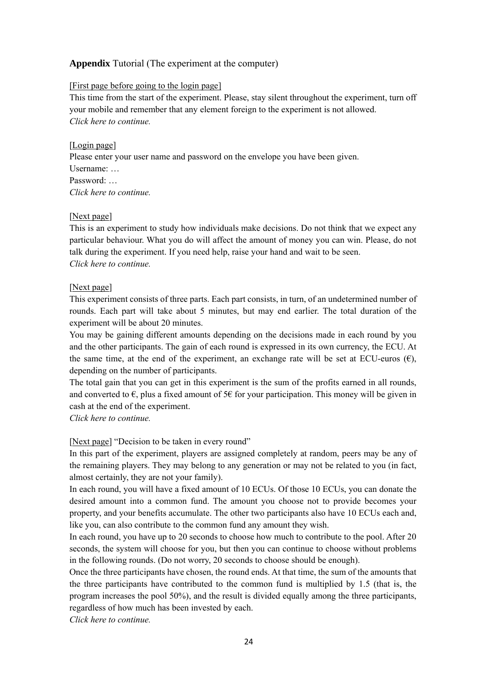#### **Appendix** Tutorial (The experiment at the computer)

#### [First page before going to the login page]

This time from the start of the experiment. Please, stay silent throughout the experiment, turn off your mobile and remember that any element foreign to the experiment is not allowed. *Click here to continue.* 

#### [Login page]

Please enter your user name and password on the envelope you have been given. Username: … Password: … *Click here to continue.* 

#### [Next page]

This is an experiment to study how individuals make decisions. Do not think that we expect any particular behaviour. What you do will affect the amount of money you can win. Please, do not talk during the experiment. If you need help, raise your hand and wait to be seen. *Click here to continue.* 

#### [Next page]

This experiment consists of three parts. Each part consists, in turn, of an undetermined number of rounds. Each part will take about 5 minutes, but may end earlier. The total duration of the experiment will be about 20 minutes.

You may be gaining different amounts depending on the decisions made in each round by you and the other participants. The gain of each round is expressed in its own currency, the ECU. At the same time, at the end of the experiment, an exchange rate will be set at ECU-euros  $(\epsilon)$ , depending on the number of participants.

The total gain that you can get in this experiment is the sum of the profits earned in all rounds, and converted to  $\epsilon$ , plus a fixed amount of 5 $\epsilon$  for your participation. This money will be given in cash at the end of the experiment.

*Click here to continue.* 

[Next page] "Decision to be taken in every round"

In this part of the experiment, players are assigned completely at random, peers may be any of the remaining players. They may belong to any generation or may not be related to you (in fact, almost certainly, they are not your family).

In each round, you will have a fixed amount of 10 ECUs. Of those 10 ECUs, you can donate the desired amount into a common fund. The amount you choose not to provide becomes your property, and your benefits accumulate. The other two participants also have 10 ECUs each and, like you, can also contribute to the common fund any amount they wish.

In each round, you have up to 20 seconds to choose how much to contribute to the pool. After 20 seconds, the system will choose for you, but then you can continue to choose without problems in the following rounds. (Do not worry, 20 seconds to choose should be enough).

Once the three participants have chosen, the round ends. At that time, the sum of the amounts that the three participants have contributed to the common fund is multiplied by 1.5 (that is, the program increases the pool 50%), and the result is divided equally among the three participants, regardless of how much has been invested by each.

*Click here to continue.*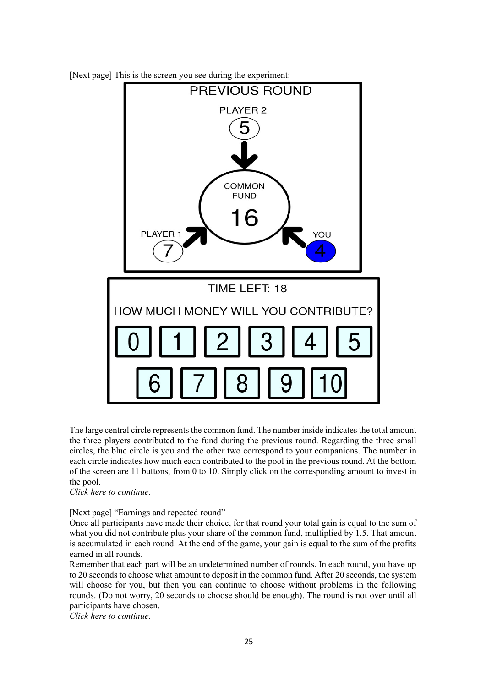



The large central circle represents the common fund. The number inside indicates the total amount the three players contributed to the fund during the previous round. Regarding the three small circles, the blue circle is you and the other two correspond to your companions. The number in each circle indicates how much each contributed to the pool in the previous round. At the bottom of the screen are 11 buttons, from 0 to 10. Simply click on the corresponding amount to invest in the pool.

*Click here to continue.* 

[Next page] "Earnings and repeated round"

Once all participants have made their choice, for that round your total gain is equal to the sum of what you did not contribute plus your share of the common fund, multiplied by 1.5. That amount is accumulated in each round. At the end of the game, your gain is equal to the sum of the profits earned in all rounds.

Remember that each part will be an undetermined number of rounds. In each round, you have up to 20 seconds to choose what amount to deposit in the common fund. After 20 seconds, the system will choose for you, but then you can continue to choose without problems in the following rounds. (Do not worry, 20 seconds to choose should be enough). The round is not over until all participants have chosen.

*Click here to continue.*